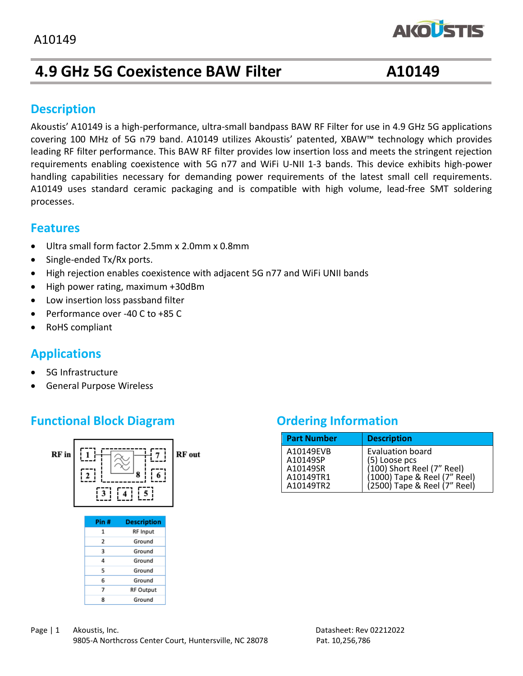# **4.9 GHz 5G Coexistence BAW Filter A10149**

**AKOUSTIS** 

## **Description**

Akoustis' A10149 is a high-performance, ultra-small bandpass BAW RF Filter for use in 4.9 GHz 5G applications covering 100 MHz of 5G n79 band. A10149 utilizes Akoustis' patented, XBAW™ technology which provides leading RF filter performance. This BAW RF filter provides low insertion loss and meets the stringent rejection requirements enabling coexistence with 5G n77 and WiFi U-NII 1-3 bands. This device exhibits high-power handling capabilities necessary for demanding power requirements of the latest small cell requirements. A10149 uses standard ceramic packaging and is compatible with high volume, lead-free SMT soldering processes.

### **Features**

- Ultra small form factor 2.5mm x 2.0mm x 0.8mm
- Single-ended Tx/Rx ports.
- High rejection enables coexistence with adjacent 5G n77 and WiFi UNII bands
- High power rating, maximum +30dBm
- Low insertion loss passband filter
- Performance over -40 C to +85 C
- RoHS compliant

# **Applications**

- 5G Infrastructure
- General Purpose Wireless

# **Functional Block Diagram** *Ordering Information*



| <b>Part Number</b>                                          | <b>Description</b>                                                                                                                     |
|-------------------------------------------------------------|----------------------------------------------------------------------------------------------------------------------------------------|
| A10149FVB<br>A10149SP<br>A10149SR<br>A10149TR1<br>A10149TR2 | <b>Evaluation board</b><br>(5) Loose pcs<br>(100) Short Reel (7" Reel)<br>(1000) Tape & Reel (7" Reel)<br>(2500) Tape & Reel (7" Reel) |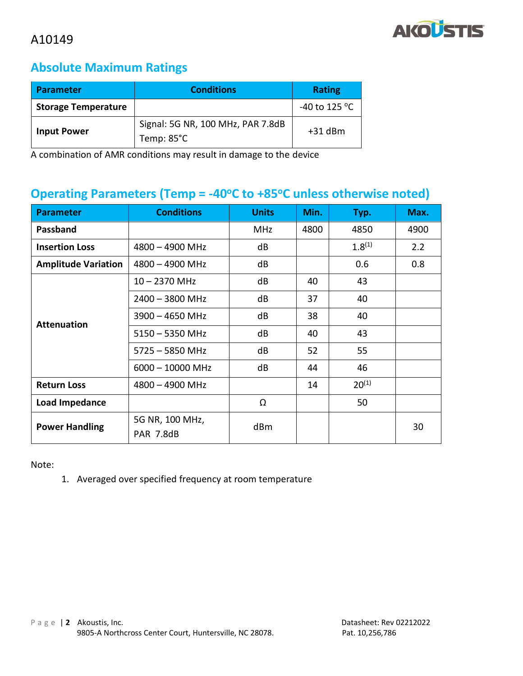

# **Absolute Maximum Ratings**

| <b>Parameter</b>           | <b>Conditions</b>                               | <b>Rating</b>           |
|----------------------------|-------------------------------------------------|-------------------------|
| <b>Storage Temperature</b> |                                                 | -40 to 125 $^{\circ}$ C |
| <b>Input Power</b>         | Signal: 5G NR, 100 MHz, PAR 7.8dB<br>Temp: 85°C | $+31$ dBm               |

A combination of AMR conditions may result in damage to the device

# **Operating Parameters (Temp = -40<sup>o</sup>C to +85<sup>o</sup>C unless otherwise noted)**

| <b>Parameter</b>           | <b>Conditions</b>            | <b>Units</b> | Min. | Typ.        | Max. |
|----------------------------|------------------------------|--------------|------|-------------|------|
| Passband                   |                              | <b>MHz</b>   | 4800 | 4850        | 4900 |
| <b>Insertion Loss</b>      | $4800 - 4900$ MHz            | dB           |      | $1.8^{(1)}$ | 2.2  |
| <b>Amplitude Variation</b> | $4800 - 4900$ MHz            | dB           |      | 0.6         | 0.8  |
| <b>Attenuation</b>         | $10 - 2370$ MHz              | dB           | 40   | 43          |      |
|                            | 2400 - 3800 MHz              | dB           | 37   | 40          |      |
|                            | $3900 - 4650$ MHz            | dB           | 38   | 40          |      |
|                            | $5150 - 5350$ MHz            | dB           | 40   | 43          |      |
|                            | 5725 - 5850 MHz              | dB           | 52   | 55          |      |
|                            | $6000 - 10000$ MHz           | dB           | 44   | 46          |      |
| <b>Return Loss</b>         | $4800 - 4900$ MHz            |              | 14   | $20^{(1)}$  |      |
| Load Impedance             |                              | Ω            |      | 50          |      |
| <b>Power Handling</b>      | 5G NR, 100 MHz,<br>PAR 7.8dB | dBm          |      |             | 30   |

Note:

1. Averaged over specified frequency at room temperature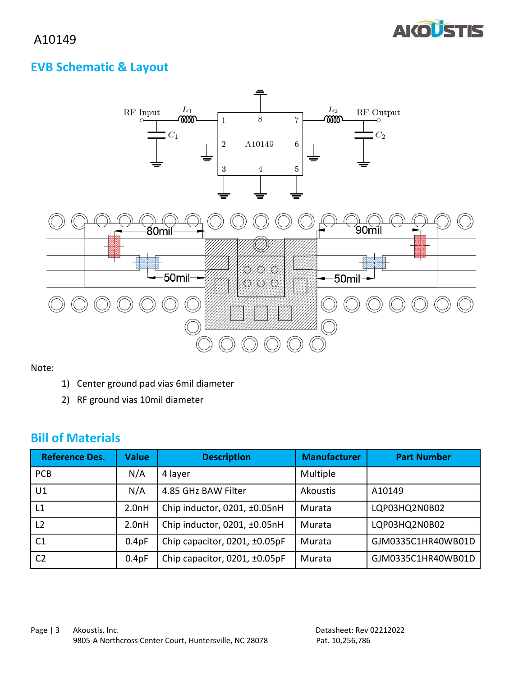

# **EVB Schematic & Layout**



Note:

- 1) Center ground pad vias 6mil diameter
- 2) RF ground vias 10mil diameter

# **Bill of Materials**

| <b>Reference Des.</b> | <b>Value</b> | <b>Description</b>            | <b>Manufacturer</b> | <b>Part Number</b> |
|-----------------------|--------------|-------------------------------|---------------------|--------------------|
| <b>PCB</b>            | N/A          | 4 layer                       | Multiple            |                    |
| U1                    | N/A          | 4.85 GHz BAW Filter           | <b>Akoustis</b>     | A10149             |
| L1                    | 2.0nH        | Chip inductor, 0201, ±0.05nH  | Murata              | LQP03HQ2N0B02      |
| L <sub>2</sub>        | 2.0nH        | Chip inductor, 0201, ±0.05nH  | Murata              | LQP03HQ2N0B02      |
| C <sub>1</sub>        | 0.4pF        | Chip capacitor, 0201, ±0.05pF | Murata              | GJM0335C1HR40WB01D |
| C <sub>2</sub>        | 0.4pF        | Chip capacitor, 0201, ±0.05pF | Murata              | GJM0335C1HR40WB01D |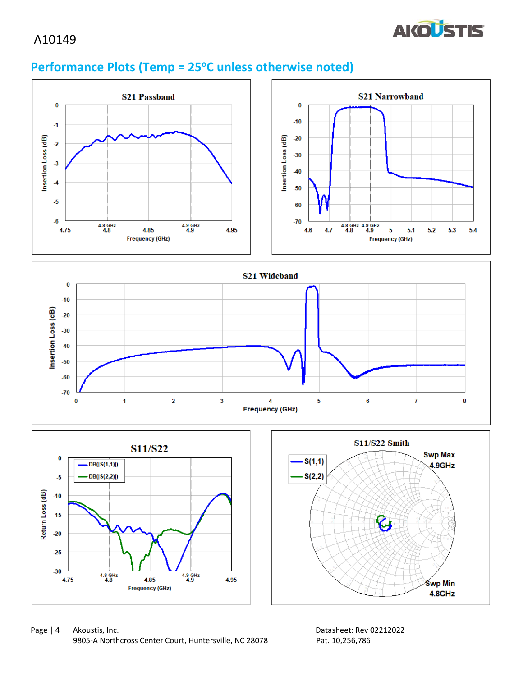

# **Performance Plots (Temp = 25<sup>o</sup>C unless otherwise noted)**



Page | 4 Akoustis, Inc. 2008 and 2009 and 2009 and 2012/2022 and 2012/2022 and 2012/2022 and 2012/2022 and 201 9805-A Northcross Center Court, Huntersville, NC 28078 Pat. 10,256,786

4.85

**Frequency (GHz)** 

 $4.9$  GHz<br> $4.9$ 

4.95

 $4.8$  GHz<br> $4.8$ 

 $-30$ 

4.75

**Swp Min** 

4.8GHz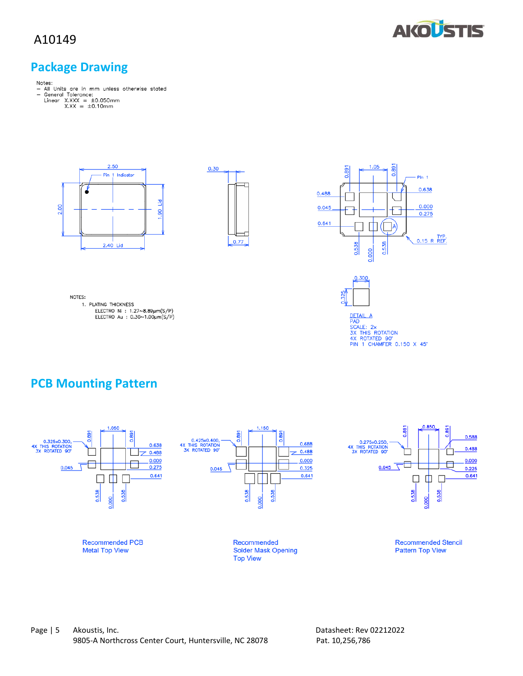

## **Package Drawing**

- Notes:<br>- All Units are in mm unless otherwise stated<br>- General Tolerance:<br>Linear X.XX = ±0.050mm<br>X.XX = ±0.10mm
	- -







DETAIL A<br>PAD<br>SCALE: 2x<br>3X THIS ROTATION<br>4X ROTATED 90°<br>PIN 1 CHAMFER 0.150 X 45°

0.300

NOTES: 1. PLATING THICKNESS

ELECTRO Ni : 1.27~8.89µm(S/P)<br>ELECTRO Ni : 0.30~1.00µm(S/P)



# **PCB Mounting Pattern**

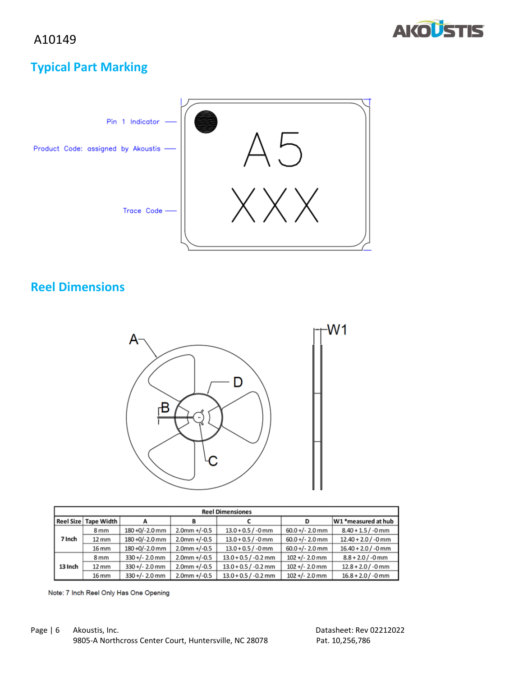

# **Typical Part Marking**



# **Reel Dimensions**



| <b>Reel Dimensiones</b> |                        |                  |                 |                        |                   |                       |
|-------------------------|------------------------|------------------|-----------------|------------------------|-------------------|-----------------------|
|                         | Reel Size   Tape Width |                  |                 |                        | D                 | W1 *measured at hub   |
| 7 Inch                  | 8 <sub>mm</sub>        | 180 +0/-2.0 mm   | $2.0$ mm +/-0.5 | $13.0 + 0.5 / -0$ mm   | $60.0 +/- 2.0$ mm | $8.40 + 1.5 / -0$ mm  |
|                         | $12 \, \text{mm}$      | 180 +0/-2.0 mm   | $2.0$ mm +/-0.5 | $13.0 + 0.5 / -0$ mm   | $60.0 +/- 2.0$ mm | $12.40 + 2.0$ / -0 mm |
|                         | 16 mm                  | 180 +0/-2.0 mm   | $2.0$ mm +/-0.5 | $13.0 + 0.5 / -0$ mm   | $60.0 +/- 2.0$ mm | $16.40 + 2.0 / -0$ mm |
|                         | 8 mm                   | $330 +/- 2.0$ mm | $2.0$ mm +/-0.5 | $13.0 + 0.5 / -0.2$ mm | $102 +/- 2.0$ mm  | $8.8 + 2.0 / -0$ mm   |
| 13 Inch                 | $12 \, \text{mm}$      | $330 +/- 2.0$ mm | $2.0$ mm +/-0.5 | $13.0 + 0.5 / -0.2$ mm | $102 +/- 2.0$ mm  | $12.8 + 2.0 / -0$ mm  |
|                         | 16 mm                  | $330 +/- 2.0$ mm | $2.0$ mm +/-0.5 | $13.0 + 0.5 / -0.2$ mm | $102 +/- 2.0$ mm  | $16.8 + 2.0 / -0$ mm  |

Note: 7 Inch Reel Only Has One Opening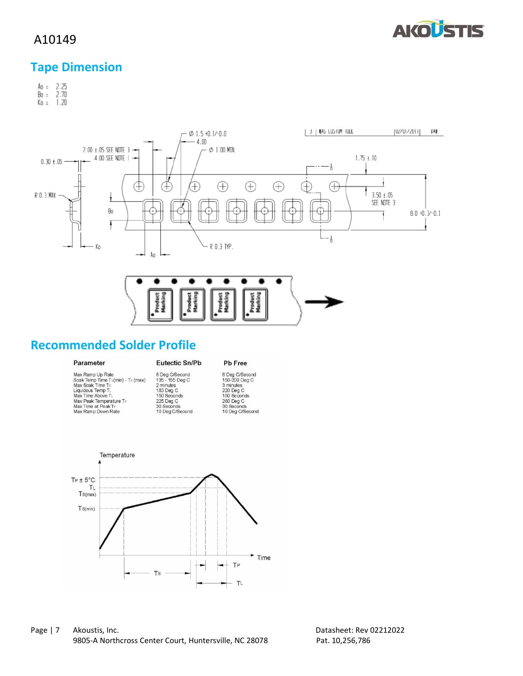

# **Tape Dimension**

Ao = 2.25<br>Bo = 2.70<br>Ko = 1.20



# **Recommended Solder Profile**

#### Parameter

#### Eutectic Sn/Pb

#### Pb Free

| Max Ramp Up Rate                  | 6 Deg            |
|-----------------------------------|------------------|
| Soak Temp Time Ts(min) - Ts (max) | $135 -$          |
| Max Soak Time Ts                  | 2 minu           |
| Liquidous Temp TL                 | 183 D            |
| Max Time Above TL                 | 150 S            |
| Max Peak Temperature TP           | 225 D            |
| Max Time at Peak TP               | 30 Se            |
| Max Ramp Down Rate                | 10 <sub>Pa</sub> |

g C/Second<br>- 155 Deg C<br>nutes<br>Deg C<br>Seconds<br>Deg C<br>econds<br>eg C/Second

6 Deg C/Second<br>150-200 Deg C<br>3 minutes<br>220 Deg C<br>150 Seconds 150 Seconds<br>260 Deg C<br>30 Seconds<br>10 Deg C/Second